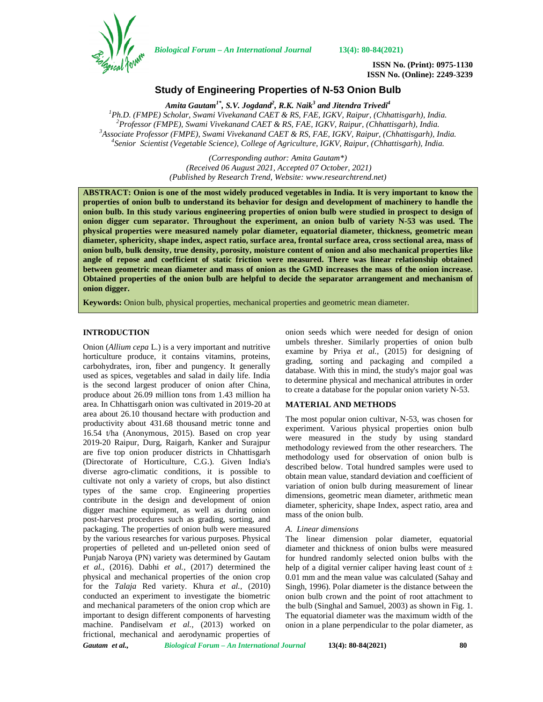

*Biological Forum – An International Journal* **13(4): 80-84(2021)**

**ISSN No. (Print): 0975-1130 ISSN No. (Online): 2249-3239**

# **Study of Engineering Properties of N-53 Onion Bulb**

*Amita Gautam1\* , S.V. Jogdand<sup>2</sup> , R.K. Naik<sup>3</sup> and Jitendra Trivedi<sup>4</sup>*  ${}^{1}P$ h.D. (FMPE) Scholar, Swami Vivekanand CAET & RS, FAE, IGKV, Raipur, (Chhattisgarh), India.<br> ${}^{2}P$ rofessor (FMPE), Swami Vivekanand CAET & RS, FAE, IGKV, Raipur, (Chhattisgarh), India.<br> ${}^{3}A$ ssociate Professor (FM

*(Corresponding author: Amita Gautam\*) (Received 06 August 2021, Accepted 07 October, 2021) (Published by Research Trend, Website: [www.researchtrend.net\)](www.researchtrend.net)*

**ABSTRACT: Onion is one of the most widely produced vegetables in India. It is very important to know the properties of onion bulb to understand its behavior for design and development of machinery to handle the onion bulb. In this study various engineering properties of onion bulb were studied in prospect to design of onion digger cum separator. Throughout the experiment, an onion bulb of variety N-53 was used. The physical properties were measured namely polar diameter, equatorial diameter, thickness, geometric mean diameter, sphericity, shape index, aspect ratio, surface area, frontal surface area, cross sectional area, mass of onion bulb, bulk density, true density, porosity, moisture content of onion and also mechanical properties like angle of repose and coefficient of static friction were measured. There was linear relationship obtained between geometric mean diameter and mass of onion as the GMD increases the mass of the onion increase. Obtained properties of the onion bulb are helpful to decide the separator arrangement and mechanism of onion digger.**

**Keywords:** Onion bulb, physical properties, mechanical properties and geometric mean diameter.

# **INTRODUCTION**

Onion (*Allium cepa* L.) is a very important and nutritive horticulture produce, it contains vitamins, proteins, carbohydrates, iron, fiber and pungency. It generally used as spices, vegetables and salad in daily life. India is the second largest producer of onion after China, produce about 26.09 million tons from 1.43 million ha area. In Chhattisgarh onion was cultivated in 2019-20 at area about 26.10 thousand hectare with production and productivity about 431.68 thousand metric tonne and 16.54 t/ha (Anonymous, 2015). Based on crop year 2019-20 Raipur, Durg, Raigarh, Kanker and Surajpur are five top onion producer districts in Chhattisgarh (Directorate of Horticulture, C.G.). Given India's diverse agro-climatic conditions, it is possible to cultivate not only a variety of crops, but also distinct types of the same crop. Engineering properties contribute in the design and development of onion digger machine equipment, as well as during onion post-harvest procedures such as grading, sorting, and packaging. The properties of onion bulb were measured by the various researches for various purposes. Physical properties of pelleted and un-pelleted onion seed of Punjab Naroya (PN) variety was determined by Gautam *et al.*, (2016). Dabhi *et al.,* (2017) determined the physical and mechanical properties of the onion crop for the *Talaja* Red variety. Khura *et al.,* (2010) conducted an experiment to investigate the biometric and mechanical parameters of the onion crop which are important to design different components of harvesting machine. Pandiselvam *et al.,* (2013) worked on frictional, mechanical and aerodynamic properties of onion seeds which were needed for design of onion umbels thresher. Similarly properties of onion bulb examine by Priya *et al.,* (2015) for designing of grading, sorting and packaging and compiled a database. With this in mind, the study's major goal was to determine physical and mechanical attributes in order to create a database for the popular onion variety N-53.

# **MATERIAL AND METHODS**

The most popular onion cultivar, N-53, was chosen for experiment. Various physical properties onion bulb were measured in the study by using standard methodology reviewed from the other researchers. The methodology used for observation of onion bulb is described below. Total hundred samples were used to obtain mean value, standard deviation and coefficient of variation of onion bulb during measurement of linear dimensions, geometric mean diameter, arithmetic mean diameter, sphericity, shape Index, aspect ratio, area and mass of the onion bulb.

### *A. Linear dimensions*

The linear dimension polar diameter, equatorial diameter and thickness of onion bulbs were measured for hundred randomly selected onion bulbs with the help of a digital vernier caliper having least count of  $\pm$ 0.01 mm and the mean value was calculated (Sahay and Singh, 1996). Polar diameter is the distance between the onion bulb crown and the point of root attachment to the bulb (Singhal and Samuel, 2003) as shown in Fig. 1. The equatorial diameter was the maximum width of the onion in a plane perpendicular to the polar diameter, as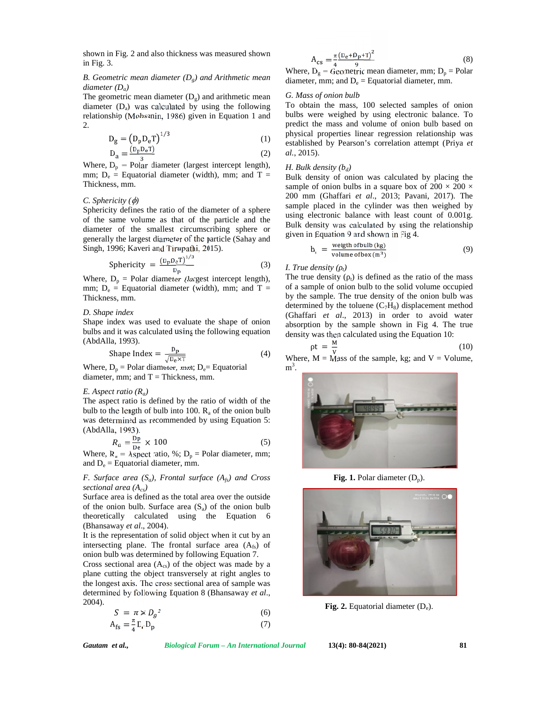shown in Fig. 2 and also thickness was measured shown in Fig. 3.

### *B. Geometric mean diameter (Dg) and Arithmetic mean diameter (Da)*

The geometric mean diameter  $(D_g)$  and arithmetic mean diameter  $(D_a)$  was calculated by using the following relationship (Mohsenin, 1986) given in Equation 1 and 2.

$$
D_g = \left(D_p D_e T\right)^{1/3} \tag{1}
$$

$$
D_a = \frac{(D_p D_e T)}{3} \tag{2}
$$

Where,  $D_p$  = Polar diameter (largest intercept length), mm;  $D_e$  = Equatorial diameter (width), mm; and T = Thickness, mm.

#### *C. Sphericity* ( $\phi$ )

Sphericity defines the ratio of the diameter of a sphere of the same volume as that of the particle and the diameter of the smallest circumscribing sphere or generally the largest diameter of the particle (Sahay and Singh, 1996; Kaveri and Tirupathi, 2015).

$$
Sphericity = \frac{(D_p D_e T)^{1/3}}{D_p}
$$
 (3)

Where,  $D_p$  = Polar diameter (largest intercept length), mm;  $D_e$  = Equatorial diameter (width), mm; and T = Thickness, mm.

#### *D. Shape index*

Shape index was used to evaluate the shape of onion bulbs and it was calculated using the following equation (AbdAlla, 1993).

$$
\text{Shape Index} = \frac{\mathbf{p}_p}{\sqrt{\mathbf{p}_e \times \mathbf{T}}} \tag{4}
$$

Where,  $D_p$  = Polar diameter, mm;  $D_e$  = Equatorial diameter, mm; and  $T = Thickness$ , mm.

#### *E. Aspect ratio (Ra)*

The aspect ratio is defined by the ratio of width of the bulb to the length of bulb into 100.  $R_a$  of the onion bulb was determined as recommended by using Equation 5: (AbdAlla, 1993).

$$
R_a = \frac{dp}{De} \times 100\tag{5}
$$

Where,  $R_a$  = Aspect ratio, %;  $D_p$  = Polar diameter, mm; and  $D_e$  = Equatorial diameter, mm.

# *F. Surface area (Sa), Frontal surface (Afs) and Cross sectional area (Acs)*

Surface area is defined as the total area over the outside of the onion bulb. Surface area  $(S_a)$  of the onion bulb theoretically calculated using the Equation 6 (Bhansaway *et al*., 2004).

It is the representation of solid object when it cut by an intersecting plane. The frontal surface area  $(A<sub>fs</sub>)$  of onion bulb was determined by following Equation 7.

Cross sectional area  $(A_{cs})$  of the object was made by a plane cutting the object transversely at right angles to the longest axis. The cross sectional area of sample was determined by following Equation 8 (Bhansaway *et al*., 2004).

$$
S = \pi \times D_g^2 \tag{6}
$$

$$
A_{\rm fs} = \frac{\pi}{4} D_{\rm r} D_{\rm p} \tag{7}
$$

$$
A_{cs} = \frac{\pi}{4} \frac{(D_e + D_p + T)^2}{9}
$$
 (8)

Where,  $D_g$  = Geometric mean diameter, mm;  $D_p$  = Polar diameter, mm; and  $D_e =$  Equatorial diameter, mm.

### *G. Mass of onion bulb*

(1) established by Pearson's correlation attempt (Priya *et* To obtain the mass, 100 selected samples of onion bulbs were weighed by using electronic balance. To predict the mass and volume of onion bulb based on physical properties linear regression relationship was *al.*, 2015).

#### *H. Bulk density*  $(b_d)$

Bulk density of onion was calculated by placing the sample of onion bulbs in a square box of  $200 \times 200 \times$ 200 mm (Ghaffari *et al*., 2013; Pavani, 2017). The sample placed in the cylinder was then weighed by using electronic balance with least count of 0.001g. Bulk density was calculated by using the relationship given in Equation 9 and shown in Fig 4.

$$
b_{i} = \frac{\text{weight of bulb (kg)}}{\text{volume of box (m}^{3})}
$$
 (9)

# (3) *I. True density*  $\binom{n}{k}$

The true density  $\left(\begin{array}{c} 1 \end{array}\right)$  is defined as the ratio of the mass of a sample of onion bulb to the solid volume occupied by the sample. The true density of the onion bulb was determined by the toluene  $(C_7H_8)$  displacement method (Ghaffari *et al*., 2013) in order to avoid water absorption by the sample shown in Fig 4. The true density was then calculated using the Equation 10:

$$
t = \frac{M}{V} \tag{10}
$$

(4) Where,  $M =$ Mass of the sample, kg; and  $V =$  Volume,  $m^3$ . .



**Fig. 1.** Polar diameter  $(D_p)$ .



**Fig. 2.** Equatorial diameter  $(D_e)$ .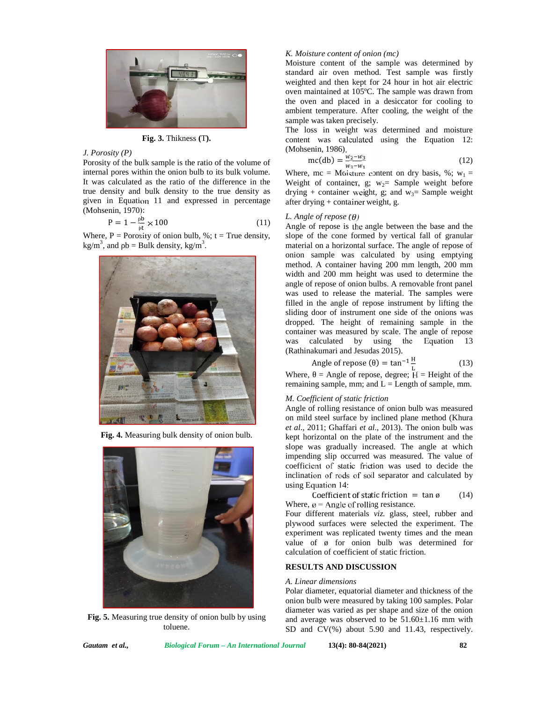

**Fig. 3.** Thikness **(**T**).**

### *J. Porosity (P)*

Porosity of the bulk sample is the ratio of the volume of internal pores within the onion bulb to its bulk volume. It was calculated as the ratio of the difference in the true density and bulk density to the true density as given in Equation 11 and expressed in percentage (Mohsenin, 1970):

$$
P = 1 - \frac{P}{R} \times 100
$$
 (11)

Where,  $P = \text{Porosity of onion bulb}, %$ ; t = True density, kg/m<sup>3</sup>, and  $b =$  Bulk density, kg/m<sup>3</sup>.



**Fig. 4.** Measuring bulk density of onion bulb.



**Fig. 5.** Measuring true density of onion bulb by using toluene.

## *K. Moisture content of onion (mc)*

Moisture content of the sample was determined by standard air oven method. Test sample was firstly weighted and then kept for 24 hour in hot air electric oven maintained at 105ºC. The sample was drawn from the oven and placed in a desiccator for cooling to ambient temperature. After cooling, the weight of the sample was taken precisely.

The loss in weight was determined and moisture content was calculated using the Equation 12: (Mohsenin, 1986).

$$
\text{mc(db)} = \frac{w_2 - w_3}{w_2 - w_1} \tag{12}
$$

Where, mc = Moisture content on dry basis, %;  $w_1$  = Weight of container, g;  $w_2$ = Sample weight before drying + container weight, g; and  $w_3$ = Sample weight after drying + container weight, g.

# *L. Angle of repose*  $(\theta)$

Angle of repose is the angle between the base and the slope of the cone formed by vertical fall of granular material on a horizontal surface. The angle of repose of onion sample was calculated by using emptying method. A container having 200 mm length, 200 mm width and 200 mm height was used to determine the angle of repose of onion bulbs. A removable front panel was used to release the material. The samples were filled in the angle of repose instrument by lifting the sliding door of instrument one side of the onions was dropped. The height of remaining sample in the container was measured by scale. The angle of repose was calculated by using the Equation 13 (Rathinakumari and Jesudas 2015).

Angle of repose ( ) = 
$$
\tan^{-1} \frac{H}{L}
$$
 (13)

Where, = Angle of repose, degree;  $H =$  Height of the remaining sample, mm; and  $L =$  Length of sample, mm.

## *M. Coefficient of static friction*

Angle of rolling resistance of onion bulb was measured on mild steel surface by inclined plane method (Khura *et al*., 2011; Ghaffari *et al*., 2013). The onion bulb was kept horizontal on the plate of the instrument and the slope was gradually increased. The angle at which impending slip occurred was measured. The value of coefficient of static friction was used to decide the inclination of rods of soil separator and calculated by using Equation 14:

Coefficient of static friction = tan  $\phi$  (14) Where,  $\varnothing$  = Angle of rolling resistance.

Four different materials *viz.* glass, steel, rubber and plywood surfaces were selected the experiment. The experiment was replicated twenty times and the mean value of ø for onion bulb was determined for calculation of coefficient of static friction.

# **RESULTS AND DISCUSSION**

#### *A. Linear dimensions*

Polar diameter, equatorial diameter and thickness of the onion bulb were measured by taking 100 samples. Polar diameter was varied as per shape and size of the onion and average was observed to be  $51.60 \pm 1.16$  mm with SD and CV(%) about 5.90 and 11.43, respectively.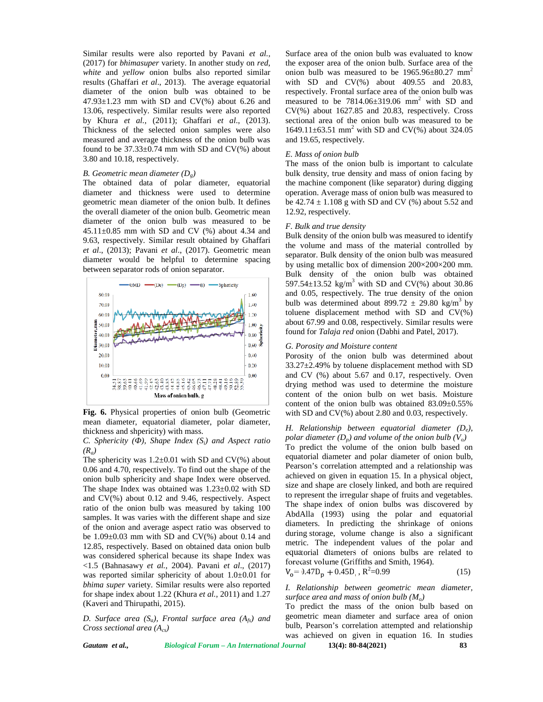Similar results were also reported by Pavani *et al.,* (2017) for *bhimasuper* variety. In another study on *red*, *white* and *yellow* onion bulbs also reported similar results (Ghaffari *et al*., 2013). The average equatorial diameter of the onion bulb was obtained to be  $47.93\pm1.23$  mm with SD and CV(%) about 6.26 and 13.06, respectively. Similar results were also reported by Khura *et al.*, (2011); Ghaffari *et al*., (2013). Thickness of the selected onion samples were also measured and average thickness of the onion bulb was found to be  $37.33\pm0.74$  mm with SD and CV(%) about 3.80 and 10.18, respectively.

#### *B. Geometric mean diameter (Dg)*

The obtained data of polar diameter, equatorial diameter and thickness were used to determine geometric mean diameter of the onion bulb. It defines the overall diameter of the onion bulb. Geometric mean diameter of the onion bulb was measured to be  $45.11 \pm 0.85$  mm with SD and CV (%) about 4.34 and 9.63, respectively. Similar result obtained by Ghaffari *et al*., (2013); Pavani *et al*., (2017). Geometric mean diameter would be helpful to determine spacing between separator rods of onion separator.



**Fig. 6.** Physical properties of onion bulb (Geometric mean diameter, equatorial diameter, polar diameter, thickness and shpericity) with mass.

*C. Sphericity (* $\rightarrow$ *), Shape Index (S<sub><i>i*</sub>) and Aspect ratio *(Ra)*

The sphericity was  $1.2\pm0.01$  with SD and CV(%) about 0.06 and 4.70, respectively. To find out the shape of the onion bulb sphericity and shape Index were observed. The shape Index was obtained was 1.23±0.02 with SD and CV(%) about 0.12 and 9.46, respectively. Aspect ratio of the onion bulb was measured by taking 100 samples. It was varies with the different shape and size of the onion and average aspect ratio was observed to be  $1.09\pm0.03$  mm with SD and CV(%) about 0.14 and 12.85, respectively. Based on obtained data onion bulb was considered spherical because its shape Index was <1.5 (Bahnasawy *et al.*, 2004). Pavani *et al*., (2017) was reported similar sphericity of about 1.0±0.01 for *bhima super* variety. Similar results were also reported for shape index about 1.22 (Khura *et al.*, 2011) and 1.27 (Kaveri and Thirupathi, 2015).

*D. Surface area (Sa), Frontal surface area (Afs) and Cross sectional area (Acs)*

Surface area of the onion bulb was evaluated to know the exposer area of the onion bulb. Surface area of the onion bulb was measured to be  $1965.96 \pm 80.27$  mm<sup>2</sup> with SD and  $CV(\%)$  about 409.55 and 20.83, respectively. Frontal surface area of the onion bulb was measured to be  $7814.06\pm319.06$  mm<sup>2</sup> with SD and CV(%) about 1627.85 and 20.83, respectively. Cross sectional area of the onion bulb was measured to be 1649.11 $\pm$ 63.51 mm<sup>2</sup> with SD and CV(%) about 324.05 and 19.65, respectively.

#### *E. Mass of onion bulb*

The mass of the onion bulb is important to calculate bulk density, true density and mass of onion facing by the machine component (like separator) during digging operation. Average mass of onion bulb was measured to be  $42.74 \pm 1.108$  g with SD and CV (%) about 5.52 and 12.92, respectively.

#### *F. Bulk and true density*

Bulk density of the onion bulb was measured to identify the volume and mass of the material controlled by separator. Bulk density of the onion bulb was measured by using metallic box of dimension 200×200×200 mm. Bulk density of the onion bulb was obtained 597.54 $\pm$ 13.52 kg/m<sup>3</sup> with SD and CV(%) about 30.86 and 0.05, respectively. The true density of the onion bulb was determined about 899.72  $\pm$  29.80 kg/m<sup>3</sup> by toluene displacement method with SD and CV(%) about 67.99 and 0.08, respectively. Similar results were found for *Talaja red* onion (Dabhi and Patel, 2017).

# *G. Porosity and Moisture content*

Porosity of the onion bulb was determined about  $33.27\pm2.49\%$  by toluene displacement method with SD and CV (%) about 5.67 and 0.17, respectively. Oven drying method was used to determine the moisture content of the onion bulb on wet basis. Moisture content of the onion bulb was obtained  $83.09 \pm 0.55\%$ with SD and CV(%) about 2.80 and 0.03, respectively.

*H. Relationship between equatorial diameter (De), polar diameter*  $(D_p)$  *and volume of the onion bulb*  $(V_o)$ To predict the volume of the onion bulb based on equatorial diameter and polar diameter of onion bulb, Pearson's correlation attempted and a relationship was achieved on given in equation 15. In a physical object, size and shape are closely linked, and both are required to represent the irregular shape of fruits and vegetables. The shape index of onion bulbs was discovered by AbdAlla (1993) using the polar and equatorial diameters. In predicting the shrinkage of onions during storage, volume change is also a significant metric. The independent values of the polar and equatorial diameters of onions bulbs are related to forecast volume (Griffiths and Smith, 1964).

$$
V_0 = 0.47 D_p + 0.45 D_r, R^2 = 0.99
$$
 (15)

#### *I. Relationship between geometric mean diameter, surface area and mass of onion bulb (Mo)*

To predict the mass of the onion bulb based on geometric mean diameter and surface area of onion bulb, Pearson's correlation attempted and relationship was achieved on given in equation 16. In studies